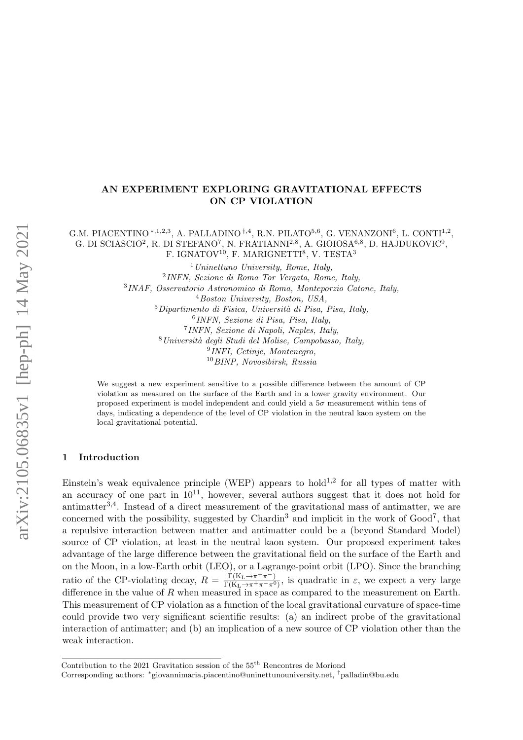### AN EXPERIMENT EXPLORING GRAVITATIONAL EFFECTS ON CP VIOLATION

G.M. PIACENTINO \* $^{1,2,3}$ , A. PALLADINO  $^{\dagger,4}$ , R.N. PILATO $^{5,6}$ , G. VENANZONI $^6$ , L. CONTI $^{1,2}$ , G. DI SCIASCIO<sup>2</sup>, R. DI STEFANO<sup>7</sup>, N. FRATIANNI<sup>2,8</sup>, A. GIOIOSA<sup>6,8</sup>, D. HAJDUKOVIC<sup>9</sup>, F. IGNATOV<sup>10</sup>, F. MARIGNETTI<sup>8</sup>, V. TESTA<sup>3</sup>

> Uninettuno University, Rome, Italy, INFN, Sezione di Roma Tor Vergata, Rome, Italy, INAF, Osservatorio Astronomico di Roma, Monteporzio Catone, Italy, Boston University, Boston, USA,  ${}^{5}$ Dipartimento di Fisica, Università di Pisa, Pisa, Italy, INFN, Sezione di Pisa, Pisa, Italy, INFN, Sezione di Napoli, Naples, Italy, Università degli Studi del Molise, Campobasso, Italy, INFI, Cetinje, Montenegro, BINP, Novosibirsk, Russia

We suggest a new experiment sensitive to a possible difference between the amount of CP violation as measured on the surface of the Earth and in a lower gravity environment. Our proposed experiment is model independent and could yield a  $5\sigma$  measurement within tens of days, indicating a dependence of the level of CP violation in the neutral kaon system on the local gravitational potential.

### 1 Introduction

Einstein's weak equivalence principle (WEP) appears to hold<sup>[1](#page-3-0),[2](#page-3-1)</sup> for all types of matter with an accuracy of one part in  $10^{11}$ , however, several authors suggest that it does not hold for antimatter<sup>[3](#page-3-2),[4](#page-3-3)</sup>. Instead of a direct measurement of the gravitational mass of antimatter, we are concerned with the possibility, suggested by  $Chardin<sup>3</sup>$  $Chardin<sup>3</sup>$  $Chardin<sup>3</sup>$  and implicit in the work of  $Good<sup>7</sup>$  $Good<sup>7</sup>$  $Good<sup>7</sup>$ , that a repulsive interaction between matter and antimatter could be a (beyond Standard Model) source of CP violation, at least in the neutral kaon system. Our proposed experiment takes advantage of the large difference between the gravitational field on the surface of the Earth and on the Moon, in a low-Earth orbit (LEO), or a Lagrange-point orbit (LPO). Since the branching ratio of the CP-violating decay,  $R = \frac{\Gamma(K_L \to \pi^+ \pi^-)}{\Gamma(K_L \to \pi^+ \pi^- \pi^-)}$  $\frac{\Gamma(K_L \to \pi^+ \pi^-)}{\Gamma(K_L \to \pi^+ \pi^- \pi^0)}$ , is quadratic in  $\varepsilon$ , we expect a very large difference in the value of  $R$  when measured in space as compared to the measurement on Earth. This measurement of CP violation as a function of the local gravitational curvature of space-time could provide two very significant scientific results: (a) an indirect probe of the gravitational interaction of antimatter; and (b) an implication of a new source of CP violation other than the weak interaction.

Contribution to the 2021 Gravitation session of the 55<sup>th</sup> Rencontres de Moriond

Corresponding authors: <sup>∗</sup> giovannimaria.piacentino@uninettunouniversity.net, †palladin@bu.edu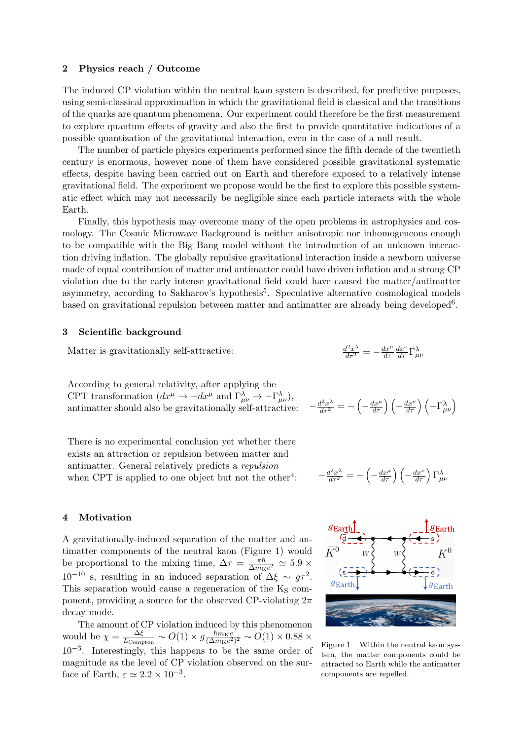#### 2 Physics reach / Outcome

The induced CP violation within the neutral kaon system is described, for predictive purposes, using semi-classical approximation in which the gravitational field is classical and the transitions of the quarks are quantum phenomena. Our experiment could therefore be the first measurement to explore quantum effects of gravity and also the first to provide quantitative indications of a possible quantization of the gravitational interaction, even in the case of a null result.

The number of particle physics experiments performed since the fifth decade of the twentieth century is enormous, however none of them have considered possible gravitational systematic effects, despite having been carried out on Earth and therefore exposed to a relatively intense gravitational field. The experiment we propose would be the first to explore this possible systematic effect which may not necessarily be negligible since each particle interacts with the whole Earth.

Finally, this hypothesis may overcome many of the open problems in astrophysics and cosmology. The Cosmic Microwave Background is neither anisotropic nor inhomogeneous enough to be compatible with the Big Bang model without the introduction of an unknown interaction driving inflation. The globally repulsive gravitational interaction inside a newborn universe made of equal contribution of matter and antimatter could have driven inflation and a strong CP violation due to the early intense gravitational field could have caused the matter/antimatter asymmetry, according to Sakharov's hypothesis<sup>[5](#page-3-5)</sup>. Speculative alternative cosmological models based on gravitational repulsion between matter and antimatter are already being developed<sup>[6](#page-3-6)</sup>.

#### 3 Scientific background

Matter is gravitationally self-attractive:

According to general relativity, after applying the CPT transformation  $(dx^{\mu} \to -dx^{\mu}$  and  $\Gamma^{\lambda}_{\mu\nu} \to -\Gamma^{\lambda}_{\mu\nu}),$ antimatter should also be gravitationally self-attractive:

There is no experimental conclusion yet whether there exists an attraction or repulsion between matter and antimatter. General relatively predicts a repulsion when CPT is applied to one object but not the other<sup>[4](#page-3-3)</sup>: : −

$$
\frac{d^2x^{\lambda}}{d\tau^2} = -\frac{dx^{\mu}}{d\tau}\frac{dx^{\nu}}{d\tau}\Gamma^{\lambda}_{\mu\nu}
$$

$$
-\frac{d^2x^\lambda}{d\tau^2} = -\left(-\frac{dx^\mu}{d\tau}\right)\left(-\frac{dx^\nu}{d\tau}\right)\left(-\Gamma^\lambda_{\mu\nu}\right)
$$

$$
-\frac{d^2x^{\lambda}}{d\tau^2} = -\left(-\frac{dx^{\mu}}{d\tau}\right)\left(-\frac{dx^{\nu}}{d\tau}\right)\Gamma^{\lambda}_{\mu\nu}
$$

#### <span id="page-1-0"></span>4 Motivation

A gravitationally-induced separation of the matter and antimatter components of the neutral kaon (Figure [1\)](#page-1-0) would be proportional to the mixing time,  $\Delta \tau = \frac{\pi \hbar}{\Delta m \nu}$  $\frac{\pi \hbar}{\Delta m_{\rm K}c^2} \simeq 5.9 \times$  $10^{-10}$  s, resulting in an induced separation of  $\Delta \xi \sim g\tau^2$ . This separation would cause a regeneration of the  $K_S$  component, providing a source for the observed CP-violating  $2\pi$ decay mode.

The amount of CP violation induced by this phenomenon would be  $\chi = \frac{\Delta \xi}{Lg}$  $\frac{\Delta \xi}{L_{\rm Compton}} \sim O(1) \times g \frac{\hbar m_{\rm K}c}{(\Delta m_{\rm K}c^2)}$  $\frac{\hbar m_{\rm K}c}{(\Delta m_{\rm K}c^2)^2} \sim O(1)\times 0.88 \times$ 10−<sup>3</sup> . Interestingly, this happens to be the same order of magnitude as the level of CP violation observed on the surface of Earth,  $\varepsilon \simeq 2.2 \times 10^{-3}$ .



Figure  $1 -$  Within the neutral kaon system, the matter components could be attracted to Earth while the antimatter components are repelled.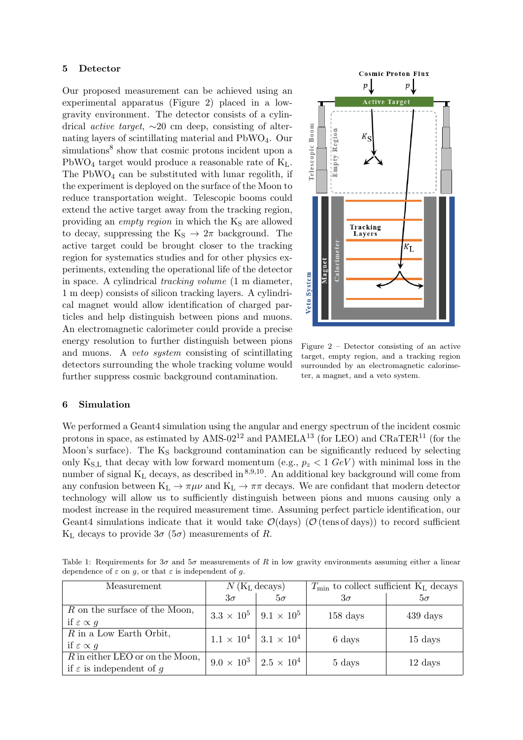#### <span id="page-2-0"></span>5 Detector

Our proposed measurement can be achieved using an experimental apparatus (Figure [2\)](#page-2-0) placed in a lowgravity environment. The detector consists of a cylindrical active target, ∼20 cm deep, consisting of alternating layers of scintillating material and PbWO4. Our simulations<sup>[8](#page-3-7)</sup> show that cosmic protons incident upon a PbWO<sub>4</sub> target would produce a reasonable rate of  $K_L$ . The  $PbWO<sub>4</sub>$  can be substituted with lunar regolith, if the experiment is deployed on the surface of the Moon to reduce transportation weight. Telescopic booms could extend the active target away from the tracking region, providing an *empty region* in which the K<sub>S</sub> are allowed to decay, suppressing the  $K_S \rightarrow 2\pi$  background. The active target could be brought closer to the tracking region for systematics studies and for other physics experiments, extending the operational life of the detector in space. A cylindrical tracking volume (1 m diameter, 1 m deep) consists of silicon tracking layers. A cylindrical magnet would allow identification of charged particles and help distinguish between pions and muons. An electromagnetic calorimeter could provide a precise energy resolution to further distinguish between pions and muons. A veto system consisting of scintillating detectors surrounding the whole tracking volume would further suppress cosmic background contamination.



Figure 2 – Detector consisting of an active target, empty region, and a tracking region surrounded by an electromagnetic calorimeter, a magnet, and a veto system.

#### 6 Simulation

We performed a Geant4 simulation using the angular and energy spectrum of the incident cosmic protons in space, as estimated by AMS-02<sup>[12](#page-3-8)</sup> and PAMELA<sup>[13](#page-3-9)</sup> (for LEO) and CRaTER<sup>[11](#page-3-10)</sup> (for the Moon's surface). The  $K_S$  background contamination can be significantly reduced by selecting only K<sub>S,L</sub> that decay with low forward momentum (e.g.,  $p_z < 1 \text{ GeV}$ ) with minimal loss in the number of signal  $K_L$  decays, as described in  $8,9,10$  $8,9,10$  $8,9,10$  $8,9,10$  $8,9,10$ . An additional key background will come from any confusion between  $K_L \to \pi \mu \nu$  and  $K_L \to \pi \pi$  decays. We are confidant that modern detector technology will allow us to sufficiently distinguish between pions and muons causing only a modest increase in the required measurement time. Assuming perfect particle identification, our Geant4 simulations indicate that it would take  $\mathcal{O}(\text{days})$  ( $\mathcal{O}(\text{tens of days})$ ) to record sufficient K<sub>L</sub> decays to provide  $3\sigma$  ( $5\sigma$ ) measurements of R.

| Measurement                                                               | $N$ (K <sub>L</sub> decays) |                                       | $T_{\rm min}$ to collect sufficient $K_{\rm L}$ decays |                      |
|---------------------------------------------------------------------------|-----------------------------|---------------------------------------|--------------------------------------------------------|----------------------|
|                                                                           | $3\sigma$                   | $5\sigma$                             | $3\sigma$                                              | $5\sigma$            |
| R on the surface of the Moon,<br>if $\varepsilon \propto g$               |                             | $3.3 \times 10^5$   $9.1 \times 10^5$ | $158 \;{\rm days}$                                     | $439 \mathrm{ days}$ |
| $R$ in a Low Earth Orbit,<br>if $\varepsilon \propto g$                   |                             | $1.1 \times 10^4$   $3.1 \times 10^4$ | 6 days                                                 | $15 \ \mathrm{days}$ |
| $R$ in either LEO or on the Moon,<br>if $\varepsilon$ is independent of q |                             | $9.0 \times 10^3$   $2.5 \times 10^4$ | 5 days                                                 | $12 \text{ days}$    |

Table 1: Requirements for  $3\sigma$  and  $5\sigma$  measurements of R in low gravity environments assuming either a linear dependence of  $\varepsilon$  on  $g$ , or that  $\varepsilon$  is independent of  $g$ .